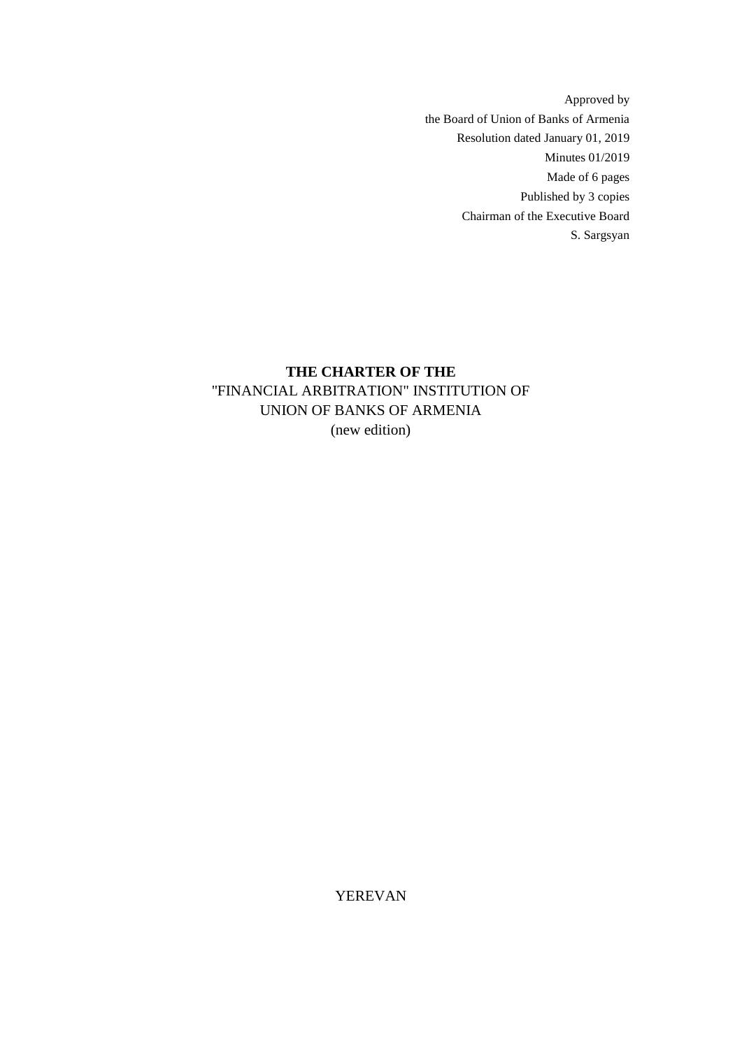Approved by the Board of Union of Banks of Armenia Resolution dated January 01, 2019 Minutes 01/2019 Made of 6 pages Published by 3 copies Chairman of the Executive Board S. Sargsyan

# **THE CHARTER OF THE**  ''FINANCIAL ARBITRATION" INSTITUTION OF UNION OF BANKS OF ARMENIA (new edition)

YEREVAN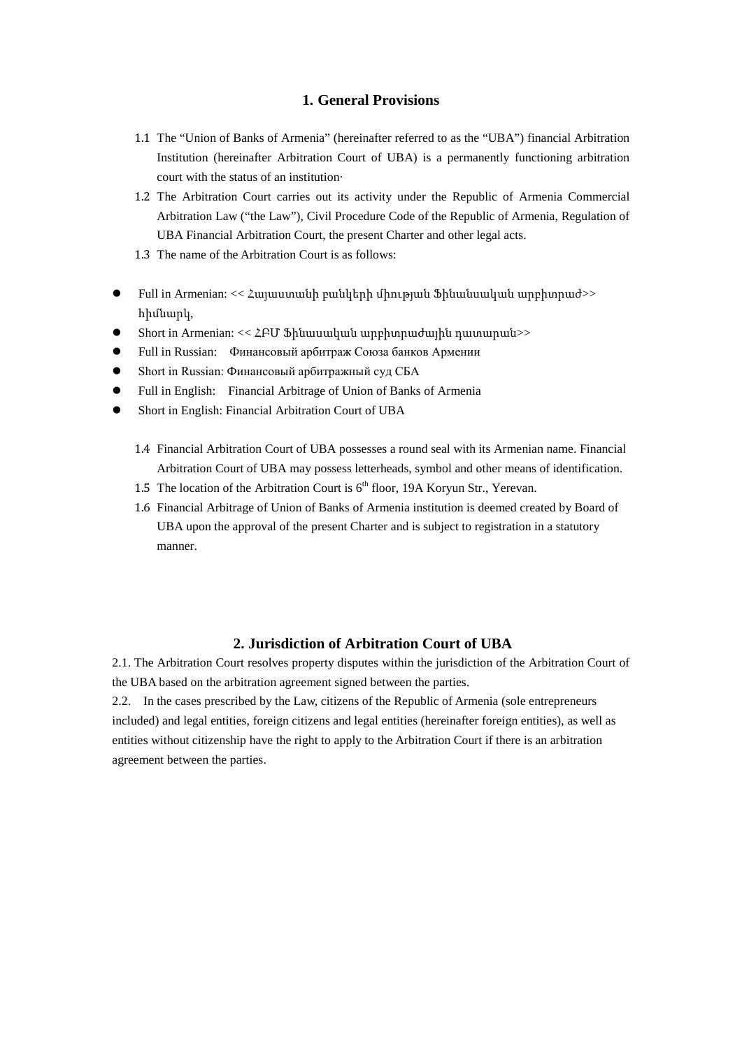### **1. General Provisions**

- 1.1 The "Union of Banks of Armenia" (hereinafter referred to as the "UBA") financial Arbitration Institution (hereinafter Arbitration Court of UBA) is a permanently functioning arbitration court with the status of an institution·
- 1.2 The Arbitration Court carries out its activity under the Republic of Armenia Commercial Arbitration Law ("the Law"), Civil Procedure Code of the Republic of Armenia, Regulation of UBA Financial Arbitration Court, the present Charter and other legal acts.
- 1.3 The name of the Arbitration Court is as follows:
- Full in Armenian: << Հայաստանի բանկերի միության Ֆինանսական արբիտրաժ>> հիմնարկ,
- Short in Armenian: <<  $\angle$  EU Shuuuuluuluu unphunuuduyhu nuununuu
- **•** Full in Russian: Финансовый арбитраж Союза банков Армении
- **•** Short in Russian: Финансовый арбитражный суд СБА
- Full in English: Financial Arbitrage of Union of Banks of Armenia
- Short in English: Financial Arbitration Court of UBA
	- 1.4 Financial Arbitration Court of UBA possesses a round seal with its Armenian name. Financial Arbitration Court of UBA may possess letterheads, symbol and other means of identification.
	- 1.5 The location of the Arbitration Court is  $6<sup>th</sup>$  floor, 19A Koryun Str., Yerevan.
	- 1.6 Financial Arbitrage of Union of Banks of Armenia institution is deemed created by Board of UBA upon the approval of the present Charter and is subject to registration in a statutory manner.

### **2. Jurisdiction of Arbitration Court of UBA**

2.1. The Arbitration Court resolves property disputes within the jurisdiction of the Arbitration Court of the UBA based on the arbitration agreement signed between the parties.

2.2. In the cases prescribed by the Law, citizens of the Republic of Armenia (sole entrepreneurs included) and legal entities, foreign citizens and legal entities (hereinafter foreign entities), as well as entities without citizenship have the right to apply to the Arbitration Court if there is an arbitration agreement between the parties.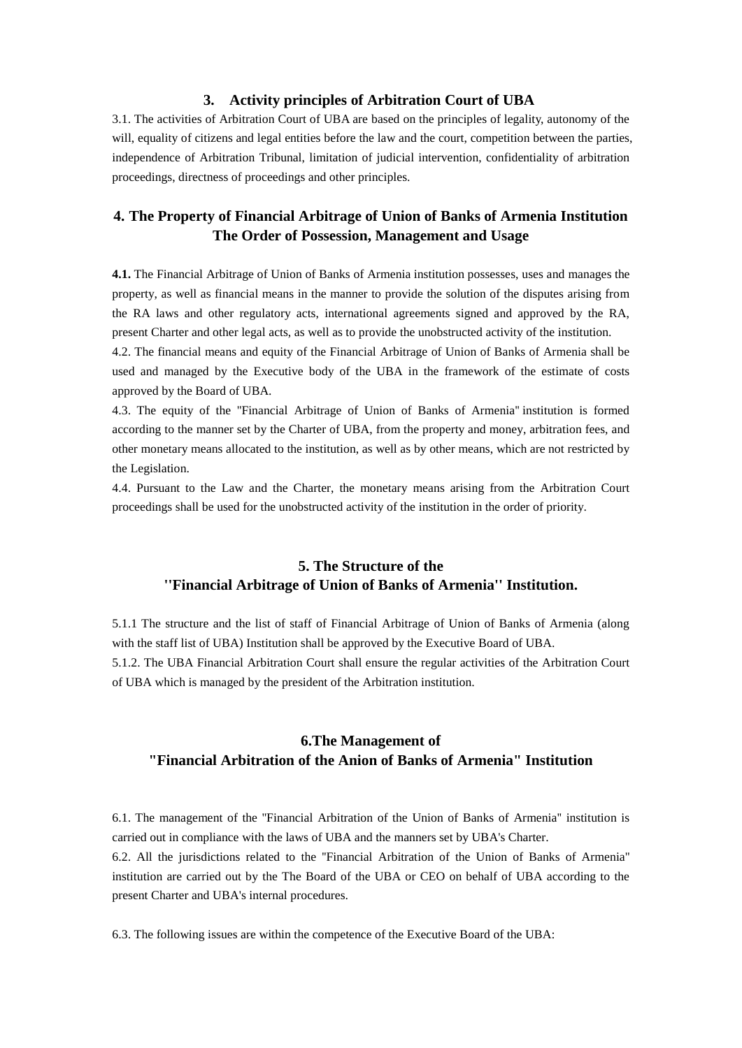### **3. Activity principles of Arbitration Court of UBA**

3.1. The activities of Arbitration Court of UBA are based on the principles of legality, autonomy of the will, equality of citizens and legal entities before the law and the court, competition between the parties, independence of Arbitration Tribunal, limitation of judicial intervention, confidentiality of arbitration proceedings, directness of proceedings and other principles.

### **4. The Property of Financial Arbitrage of Union of Banks of Armenia Institution The Order of Possession, Management and Usage**

**4.1.** The Financial Arbitrage of Union of Banks of Armenia institution possesses, uses and manages the property, as well as financial means in the manner to provide the solution of the disputes arising from the RA laws and other regulatory acts, international agreements signed and approved by the RA, present Charter and other legal acts, as well as to provide the unobstructed activity of the institution.

4.2. The financial means and equity of the Financial Arbitrage of Union of Banks of Armenia shall be used and managed by the Executive body of the UBA in the framework of the estimate of costs approved by the Board of UBA.

4.3. The equity of the ''Financial Arbitrage of Union of Banks of Armenia'' institution is formed according to the manner set by the Charter of UBA, from the property and money, arbitration fees, and other monetary means allocated to the institution, as well as by other means, which are not restricted by the Legislation.

4.4. Pursuant to the Law and the Charter, the monetary means arising from the Arbitration Court proceedings shall be used for the unobstructed activity of the institution in the order of priority.

## **5. The Structure of the ''Financial Arbitrage of Union of Banks of Armenia'' Institution.**

5.1.1 The structure and the list of staff of Financial Arbitrage of Union of Banks of Armenia (along with the staff list of UBA) Institution shall be approved by the Executive Board of UBA. 5.1.2. The UBA Financial Arbitration Court shall ensure the regular activities of the Arbitration Court of UBA which is managed by the president of the Arbitration institution.

# **6.The Management of "Financial Arbitration of the Anion of Banks of Armenia" Institution**

6.1. The management of the ''Financial Arbitration of the Union of Banks of Armenia'' institution is carried out in compliance with the laws of UBA and the manners set by UBA's Charter. 6.2. All the jurisdictions related to the ''Financial Arbitration of the Union of Banks of Armenia'' institution are carried out by the The Board of the UBA or CEO on behalf of UBA according to the present Charter and UBA's internal procedures.

6.3. The following issues are within the competence of the Executive Board of the UBA: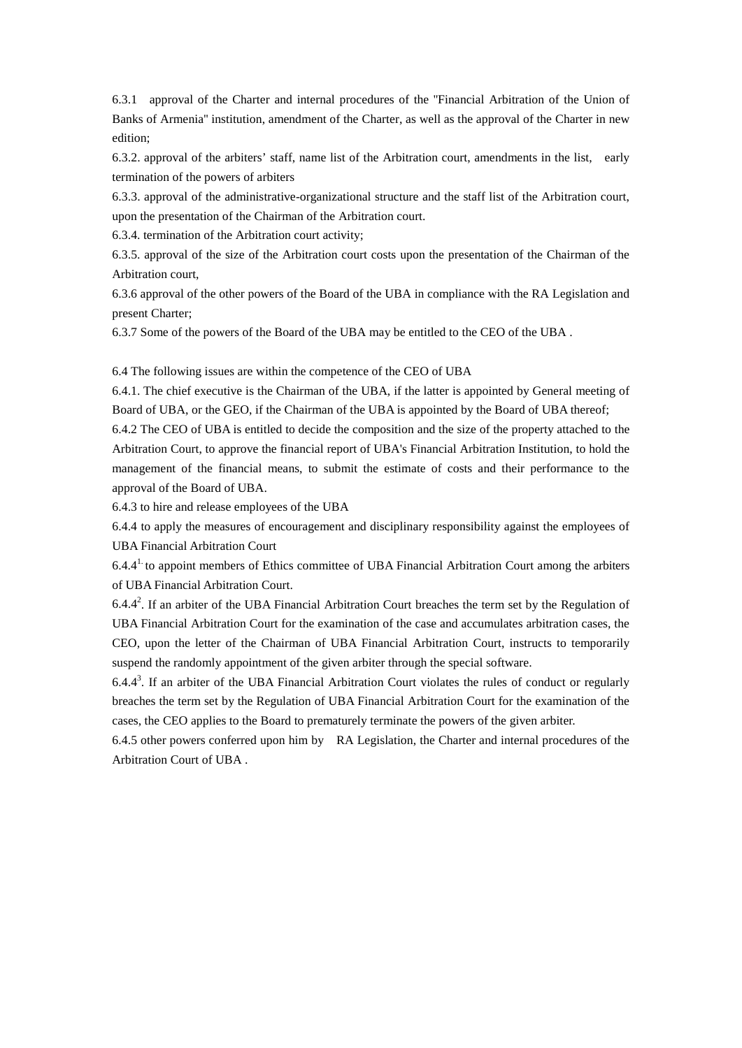6.3.1 approval of the Charter and internal procedures of the ''Financial Arbitration of the Union of Banks of Armenia'' institution, amendment of the Charter, as well as the approval of the Charter in new edition;

6.3.2. approval of the arbiters' staff, name list of the Arbitration court, amendments in the list, early termination of the powers of arbiters

6.3.3. approval of the administrative-organizational structure and the staff list of the Arbitration court, upon the presentation of the Chairman of the Arbitration court.

6.3.4. termination of the Arbitration court activity;

6.3.5. approval of the size of the Arbitration court costs upon the presentation of the Chairman of the Arbitration court,

6.3.6 approval of the other powers of the Board of the UBA in compliance with the RA Legislation and present Charter;

6.3.7 Some of the powers of the Board of the UBA may be entitled to the CEO of the UBA .

6.4 The following issues are within the competence of the CEO of UBA

6.4.1. The chief executive is the Chairman of the UBA, if the latter is appointed by General meeting of Board of UBA, or the GEO, if the Chairman of the UBA is appointed by the Board of UBA thereof;

6.4.2 The CEO of UBA is entitled to decide the composition and the size of the property attached to the Arbitration Court, to approve the financial report of UBA's Financial Arbitration Institution, to hold the management of the financial means, to submit the estimate of costs and their performance to the approval of the Board of UBA.

6.4.3 to hire and release employees of the UBA

6.4.4 to apply the measures of encouragement and disciplinary responsibility against the employees of UBA Financial Arbitration Court

6.4.41. to appoint members of Ethics committee of UBA Financial Arbitration Court among the arbiters of UBA Financial Arbitration Court.

 $6.4.4<sup>2</sup>$ . If an arbiter of the UBA Financial Arbitration Court breaches the term set by the Regulation of UBA Financial Arbitration Court for the examination of the case and accumulates arbitration cases, the CEO, upon the letter of the Chairman of UBA Financial Arbitration Court, instructs to temporarily suspend the randomly appointment of the given arbiter through the special software.

 $6.4.4<sup>3</sup>$ . If an arbiter of the UBA Financial Arbitration Court violates the rules of conduct or regularly breaches the term set by the Regulation of UBA Financial Arbitration Court for the examination of the cases, the CEO applies to the Board to prematurely terminate the powers of the given arbiter.

6.4.5 other powers conferred upon him by RA Legislation, the Charter and internal procedures of the Arbitration Court of UBA .